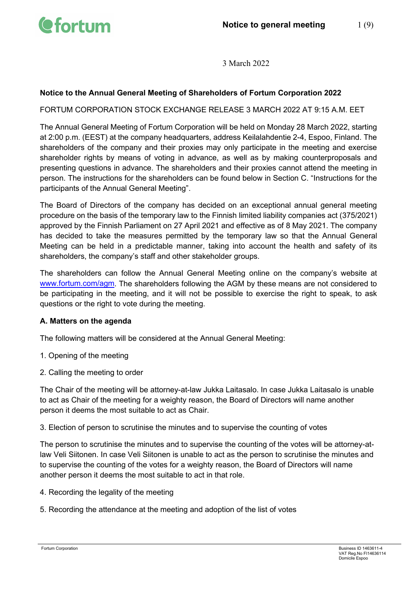

### **Notice to the Annual General Meeting of Shareholders of Fortum Corporation 2022**

### FORTUM CORPORATION STOCK EXCHANGE RELEASE 3 MARCH 2022 AT 9:15 A.M. EET

The Annual General Meeting of Fortum Corporation will be held on Monday 28 March 2022, starting at 2:00 p.m. (EEST) at the company headquarters, address Keilalahdentie 2-4, Espoo, Finland. The shareholders of the company and their proxies may only participate in the meeting and exercise shareholder rights by means of voting in advance, as well as by making counterproposals and presenting questions in advance. The shareholders and their proxies cannot attend the meeting in person. The instructions for the shareholders can be found below in Section C. "Instructions for the participants of the Annual General Meeting".

The Board of Directors of the company has decided on an exceptional annual general meeting procedure on the basis of the temporary law to the Finnish limited liability companies act (375/2021) approved by the Finnish Parliament on 27 April 2021 and effective as of 8 May 2021. The company has decided to take the measures permitted by the temporary law so that the Annual General Meeting can be held in a predictable manner, taking into account the health and safety of its shareholders, the company's staff and other stakeholder groups.

The shareholders can follow the Annual General Meeting online on the company's website at [www.fortum.com/agm.](http://www.fortum.com/agm) The shareholders following the AGM by these means are not considered to be participating in the meeting, and it will not be possible to exercise the right to speak, to ask questions or the right to vote during the meeting.

### **A. Matters on the agenda**

The following matters will be considered at the Annual General Meeting:

- 1. Opening of the meeting
- 2. Calling the meeting to order

The Chair of the meeting will be attorney-at-law Jukka Laitasalo. In case Jukka Laitasalo is unable to act as Chair of the meeting for a weighty reason, the Board of Directors will name another person it deems the most suitable to act as Chair.

3. Election of person to scrutinise the minutes and to supervise the counting of votes

The person to scrutinise the minutes and to supervise the counting of the votes will be attorney-atlaw Veli Siitonen. In case Veli Siitonen is unable to act as the person to scrutinise the minutes and to supervise the counting of the votes for a weighty reason, the Board of Directors will name another person it deems the most suitable to act in that role.

- 4. Recording the legality of the meeting
- 5. Recording the attendance at the meeting and adoption of the list of votes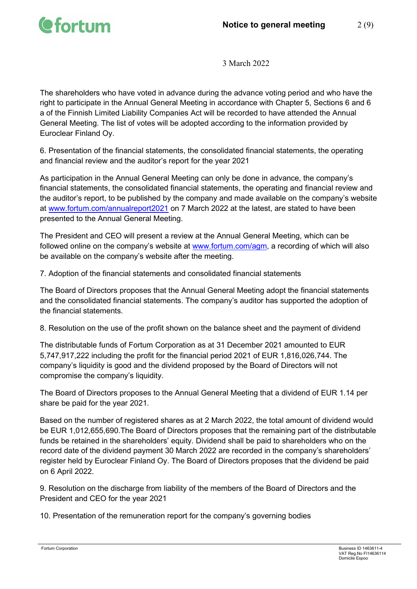

The shareholders who have voted in advance during the advance voting period and who have the right to participate in the Annual General Meeting in accordance with Chapter 5, Sections 6 and 6 a of the Finnish Limited Liability Companies Act will be recorded to have attended the Annual General Meeting. The list of votes will be adopted according to the information provided by Euroclear Finland Oy.

6. Presentation of the financial statements, the consolidated financial statements, the operating and financial review and the auditor's report for the year 2021

As participation in the Annual General Meeting can only be done in advance, the company's financial statements, the consolidated financial statements, the operating and financial review and the auditor's report, to be published by the company and made available on the company's website at [www.fortum.com/annualreport2021](http://www.fortum.com/annualreport2021) on 7 March 2022 at the latest, are stated to have been presented to the Annual General Meeting.

The President and CEO will present a review at the Annual General Meeting, which can be followed online on the company's website at [www.fortum.com/agm,](http://www.fortum.com/agm) a recording of which will also be available on the company's website after the meeting.

7. Adoption of the financial statements and consolidated financial statements

The Board of Directors proposes that the Annual General Meeting adopt the financial statements and the consolidated financial statements. The company's auditor has supported the adoption of the financial statements.

8. Resolution on the use of the profit shown on the balance sheet and the payment of dividend

The distributable funds of Fortum Corporation as at 31 December 2021 amounted to EUR 5,747,917,222 including the profit for the financial period 2021 of EUR 1,816,026,744. The company's liquidity is good and the dividend proposed by the Board of Directors will not compromise the company's liquidity.

The Board of Directors proposes to the Annual General Meeting that a dividend of EUR 1.14 per share be paid for the year 2021.

Based on the number of registered shares as at 2 March 2022, the total amount of dividend would be EUR 1,012,655,690.The Board of Directors proposes that the remaining part of the distributable funds be retained in the shareholders' equity. Dividend shall be paid to shareholders who on the record date of the dividend payment 30 March 2022 are recorded in the company's shareholders' register held by Euroclear Finland Oy. The Board of Directors proposes that the dividend be paid on 6 April 2022.

9. Resolution on the discharge from liability of the members of the Board of Directors and the President and CEO for the year 2021

10. Presentation of the remuneration report for the company's governing bodies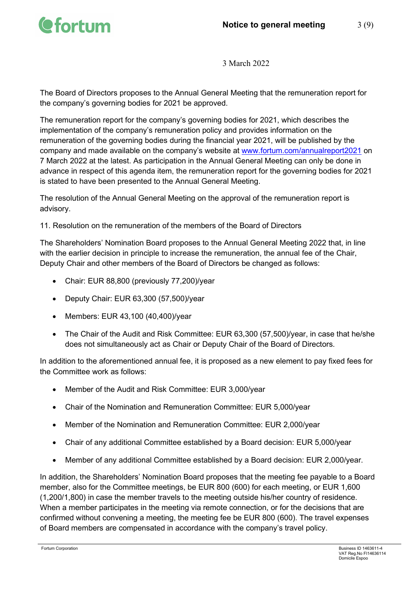

The Board of Directors proposes to the Annual General Meeting that the remuneration report for the company's governing bodies for 2021 be approved.

The remuneration report for the company's governing bodies for 2021, which describes the implementation of the company's remuneration policy and provides information on the remuneration of the governing bodies during the financial year 2021, will be published by the company and made available on the company's website at [www.fortum.com/annualreport2021](http://www.fortum.com/annualreport2021) on 7 March 2022 at the latest. As participation in the Annual General Meeting can only be done in advance in respect of this agenda item, the remuneration report for the governing bodies for 2021 is stated to have been presented to the Annual General Meeting.

The resolution of the Annual General Meeting on the approval of the remuneration report is advisory.

11. Resolution on the remuneration of the members of the Board of Directors

The Shareholders' Nomination Board proposes to the Annual General Meeting 2022 that, in line with the earlier decision in principle to increase the remuneration, the annual fee of the Chair, Deputy Chair and other members of the Board of Directors be changed as follows:

- Chair: EUR 88,800 (previously 77,200)/year
- Deputy Chair: EUR 63,300 (57,500)/year
- Members: EUR 43,100 (40,400)/year
- The Chair of the Audit and Risk Committee: EUR 63,300 (57,500)/year, in case that he/she does not simultaneously act as Chair or Deputy Chair of the Board of Directors.

In addition to the aforementioned annual fee, it is proposed as a new element to pay fixed fees for the Committee work as follows:

- Member of the Audit and Risk Committee: EUR 3,000/year
- Chair of the Nomination and Remuneration Committee: EUR 5,000/year
- Member of the Nomination and Remuneration Committee: EUR 2,000/year
- Chair of any additional Committee established by a Board decision: EUR 5,000/year
- Member of any additional Committee established by a Board decision: EUR 2,000/year.

In addition, the Shareholders' Nomination Board proposes that the meeting fee payable to a Board member, also for the Committee meetings, be EUR 800 (600) for each meeting, or EUR 1,600 (1,200/1,800) in case the member travels to the meeting outside his/her country of residence. When a member participates in the meeting via remote connection, or for the decisions that are confirmed without convening a meeting, the meeting fee be EUR 800 (600). The travel expenses of Board members are compensated in accordance with the company's travel policy.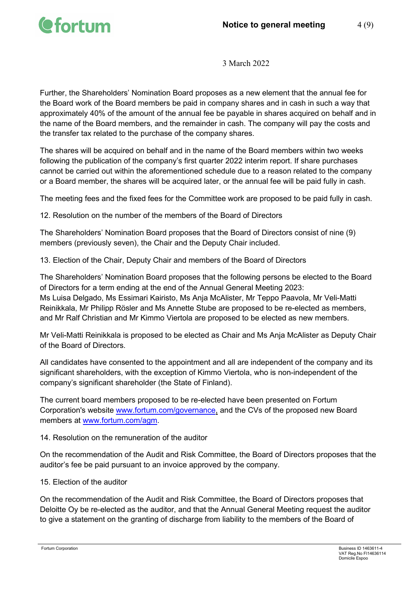

Further, the Shareholders' Nomination Board proposes as a new element that the annual fee for the Board work of the Board members be paid in company shares and in cash in such a way that approximately 40% of the amount of the annual fee be payable in shares acquired on behalf and in the name of the Board members, and the remainder in cash. The company will pay the costs and the transfer tax related to the purchase of the company shares.

The shares will be acquired on behalf and in the name of the Board members within two weeks following the publication of the company's first quarter 2022 interim report. If share purchases cannot be carried out within the aforementioned schedule due to a reason related to the company or a Board member, the shares will be acquired later, or the annual fee will be paid fully in cash.

The meeting fees and the fixed fees for the Committee work are proposed to be paid fully in cash.

12. Resolution on the number of the members of the Board of Directors

The Shareholders' Nomination Board proposes that the Board of Directors consist of nine (9) members (previously seven), the Chair and the Deputy Chair included.

13. Election of the Chair, Deputy Chair and members of the Board of Directors

The Shareholders' Nomination Board proposes that the following persons be elected to the Board of Directors for a term ending at the end of the Annual General Meeting 2023: Ms Luisa Delgado, Ms Essimari Kairisto, Ms Anja McAlister, Mr Teppo Paavola, Mr Veli-Matti Reinikkala, Mr Philipp Rösler and Ms Annette Stube are proposed to be re-elected as members, and Mr Ralf Christian and Mr Kimmo Viertola are proposed to be elected as new members.

Mr Veli-Matti Reinikkala is proposed to be elected as Chair and Ms Anja McAlister as Deputy Chair of the Board of Directors.

All candidates have consented to the appointment and all are independent of the company and its significant shareholders, with the exception of Kimmo Viertola, who is non-independent of the company's significant shareholder (the State of Finland).

The current board members proposed to be re-elected have been presented on Fortum Corporation's website [www.fortum.com/g](http://www.fortum.com/)overnance, and the CVs of the proposed new Board members at [www.fortum.com/agm.](http://www.fortum.com/agm)

## 14. Resolution on the remuneration of the auditor

On the recommendation of the Audit and Risk Committee, the Board of Directors proposes that the auditor's fee be paid pursuant to an invoice approved by the company.

### 15. Election of the auditor

On the recommendation of the Audit and Risk Committee, the Board of Directors proposes that Deloitte Oy be re-elected as the auditor, and that the Annual General Meeting request the auditor to give a statement on the granting of discharge from liability to the members of the Board of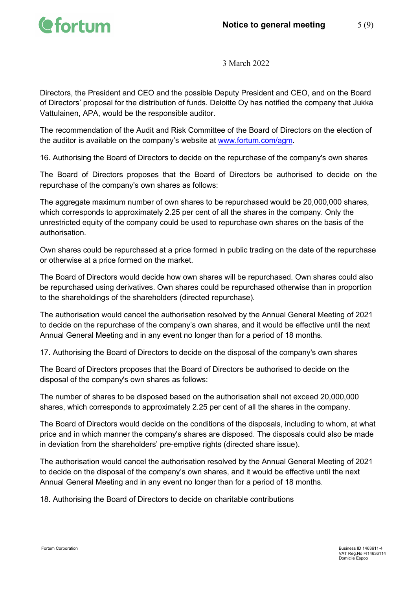

Directors, the President and CEO and the possible Deputy President and CEO, and on the Board of Directors' proposal for the distribution of funds. Deloitte Oy has notified the company that Jukka Vattulainen, APA, would be the responsible auditor.

The recommendation of the Audit and Risk Committee of the Board of Directors on the election of the auditor is available on the company's website at [www.fortum.com/agm.](http://www.fortum.com/agm)

16. Authorising the Board of Directors to decide on the repurchase of the company's own shares

The Board of Directors proposes that the Board of Directors be authorised to decide on the repurchase of the company's own shares as follows:

The aggregate maximum number of own shares to be repurchased would be 20,000,000 shares, which corresponds to approximately 2.25 per cent of all the shares in the company. Only the unrestricted equity of the company could be used to repurchase own shares on the basis of the authorisation.

Own shares could be repurchased at a price formed in public trading on the date of the repurchase or otherwise at a price formed on the market.

The Board of Directors would decide how own shares will be repurchased. Own shares could also be repurchased using derivatives. Own shares could be repurchased otherwise than in proportion to the shareholdings of the shareholders (directed repurchase).

The authorisation would cancel the authorisation resolved by the Annual General Meeting of 2021 to decide on the repurchase of the company's own shares, and it would be effective until the next Annual General Meeting and in any event no longer than for a period of 18 months.

17. Authorising the Board of Directors to decide on the disposal of the company's own shares

The Board of Directors proposes that the Board of Directors be authorised to decide on the disposal of the company's own shares as follows:

The number of shares to be disposed based on the authorisation shall not exceed 20,000,000 shares, which corresponds to approximately 2.25 per cent of all the shares in the company.

The Board of Directors would decide on the conditions of the disposals, including to whom, at what price and in which manner the company's shares are disposed. The disposals could also be made in deviation from the shareholders' pre-emptive rights (directed share issue).

The authorisation would cancel the authorisation resolved by the Annual General Meeting of 2021 to decide on the disposal of the company's own shares, and it would be effective until the next Annual General Meeting and in any event no longer than for a period of 18 months.

18. Authorising the Board of Directors to decide on charitable contributions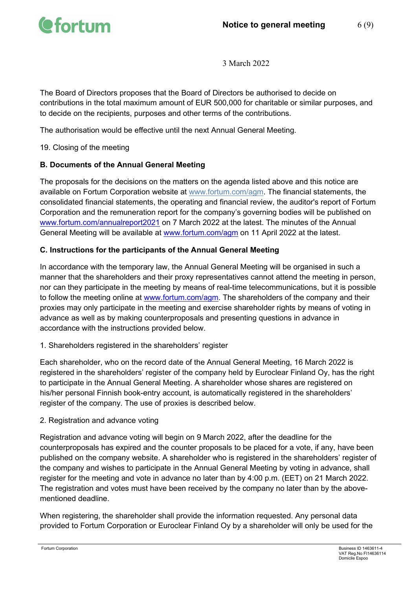

The Board of Directors proposes that the Board of Directors be authorised to decide on contributions in the total maximum amount of EUR 500,000 for charitable or similar purposes, and to decide on the recipients, purposes and other terms of the contributions.

The authorisation would be effective until the next Annual General Meeting.

19. Closing of the meeting

## **B. Documents of the Annual General Meeting**

The proposals for the decisions on the matters on the agenda listed above and this notice are available on Fortum Corporation website at [www.fortum.com/agm.](http://www.fortum.com/agm) The financial statements, the consolidated financial statements, the operating and financial review, the auditor's report of Fortum Corporation and the remuneration report for the company's governing bodies will be published on [www.fortum.com/annualreport2021](http://www.fortum.com/annualreport2021) on 7 March 2022 at the latest. The minutes of the Annual General Meeting will be available at [www.fortum.com/agm](http://www.fortum.com/agm) on 11 April 2022 at the latest.

# **C. Instructions for the participants of the Annual General Meeting**

In accordance with the temporary law, the Annual General Meeting will be organised in such a manner that the shareholders and their proxy representatives cannot attend the meeting in person, nor can they participate in the meeting by means of real-time telecommunications, but it is possible to follow the meeting online at [www.fortum.com/agm.](http://www.fortum.com/agm) The shareholders of the company and their proxies may only participate in the meeting and exercise shareholder rights by means of voting in advance as well as by making counterproposals and presenting questions in advance in accordance with the instructions provided below.

## 1. Shareholders registered in the shareholders' register

Each shareholder, who on the record date of the Annual General Meeting, 16 March 2022 is registered in the shareholders' register of the company held by Euroclear Finland Oy, has the right to participate in the Annual General Meeting. A shareholder whose shares are registered on his/her personal Finnish book-entry account, is automatically registered in the shareholders' register of the company. The use of proxies is described below.

## 2. Registration and advance voting

Registration and advance voting will begin on 9 March 2022, after the deadline for the counterproposals has expired and the counter proposals to be placed for a vote, if any, have been published on the company website. A shareholder who is registered in the shareholders' register of the company and wishes to participate in the Annual General Meeting by voting in advance, shall register for the meeting and vote in advance no later than by 4:00 p.m. (EET) on 21 March 2022. The registration and votes must have been received by the company no later than by the abovementioned deadline.

When registering, the shareholder shall provide the information requested. Any personal data provided to Fortum Corporation or Euroclear Finland Oy by a shareholder will only be used for the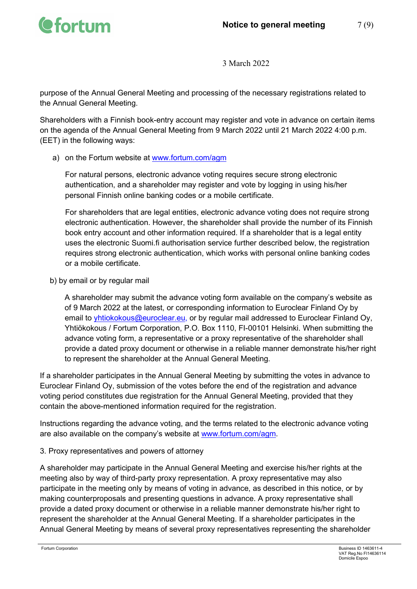

purpose of the Annual General Meeting and processing of the necessary registrations related to the Annual General Meeting.

Shareholders with a Finnish book-entry account may register and vote in advance on certain items on the agenda of the Annual General Meeting from 9 March 2022 until 21 March 2022 4:00 p.m. (EET) in the following ways:

a) on the Fortum website at [www.fortum.com/agm](http://www.fortum.com/agm)

For natural persons, electronic advance voting requires secure strong electronic authentication, and a shareholder may register and vote by logging in using his/her personal Finnish online banking codes or a mobile certificate.

For shareholders that are legal entities, electronic advance voting does not require strong electronic authentication. However, the shareholder shall provide the number of its Finnish book entry account and other information required. If a shareholder that is a legal entity uses the electronic Suomi.fi authorisation service further described below, the registration requires strong electronic authentication, which works with personal online banking codes or a mobile certificate.

b) by email or by regular mail

A shareholder may submit the advance voting form available on the company's website as of 9 March 2022 at the latest, or corresponding information to Euroclear Finland Oy by email to [yhtiokokous@euroclear.eu,](mailto:yhtiokokous@euroclear.eu) or by regular mail addressed to Euroclear Finland Oy, Yhtiökokous / Fortum Corporation, P.O. Box 1110, FI-00101 Helsinki. When submitting the advance voting form, a representative or a proxy representative of the shareholder shall provide a dated proxy document or otherwise in a reliable manner demonstrate his/her right to represent the shareholder at the Annual General Meeting.

If a shareholder participates in the Annual General Meeting by submitting the votes in advance to Euroclear Finland Oy, submission of the votes before the end of the registration and advance voting period constitutes due registration for the Annual General Meeting, provided that they contain the above-mentioned information required for the registration.

Instructions regarding the advance voting, and the terms related to the electronic advance voting are also available on the company's website at [www.fortum.com/agm.](http://www.fortum.com/agm)

3. Proxy representatives and powers of attorney

A shareholder may participate in the Annual General Meeting and exercise his/her rights at the meeting also by way of third-party proxy representation. A proxy representative may also participate in the meeting only by means of voting in advance, as described in this notice, or by making counterproposals and presenting questions in advance. A proxy representative shall provide a dated proxy document or otherwise in a reliable manner demonstrate his/her right to represent the shareholder at the Annual General Meeting. If a shareholder participates in the Annual General Meeting by means of several proxy representatives representing the shareholder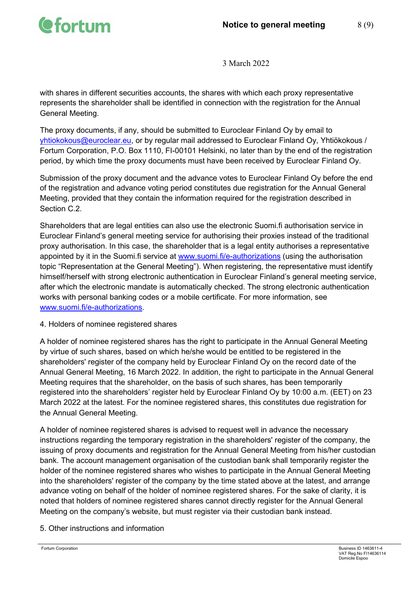

with shares in different securities accounts, the shares with which each proxy representative represents the shareholder shall be identified in connection with the registration for the Annual General Meeting.

The proxy documents, if any, should be submitted to Euroclear Finland Oy by email to [yhtiokokous@euroclear.eu,](mailto:yhtiokokous@euroclear.eu) or by regular mail addressed to Euroclear Finland Oy, Yhtiökokous / Fortum Corporation, P.O. Box 1110, FI-00101 Helsinki, no later than by the end of the registration period, by which time the proxy documents must have been received by Euroclear Finland Oy.

Submission of the proxy document and the advance votes to Euroclear Finland Oy before the end of the registration and advance voting period constitutes due registration for the Annual General Meeting, provided that they contain the information required for the registration described in Section C.2.

Shareholders that are legal entities can also use the electronic Suomi.fi authorisation service in Euroclear Finland's general meeting service for authorising their proxies instead of the traditional proxy authorisation. In this case, the shareholder that is a legal entity authorises a representative appointed by it in the Suomi.fi service at [www.suomi.fi/e-authorizations](http://www.suomi.fi/e-authorizations) (using the authorisation topic "Representation at the General Meeting"). When registering, the representative must identify himself/herself with strong electronic authentication in Euroclear Finland's general meeting service, after which the electronic mandate is automatically checked. The strong electronic authentication works with personal banking codes or a mobile certificate. For more information, see [www.suomi.fi/e-authorizations.](http://www.suomi.fi/e-authorizations)

4. Holders of nominee registered shares

A holder of nominee registered shares has the right to participate in the Annual General Meeting by virtue of such shares, based on which he/she would be entitled to be registered in the shareholders' register of the company held by Euroclear Finland Oy on the record date of the Annual General Meeting, 16 March 2022. In addition, the right to participate in the Annual General Meeting requires that the shareholder, on the basis of such shares, has been temporarily registered into the shareholders' register held by Euroclear Finland Oy by 10:00 a.m. (EET) on 23 March 2022 at the latest. For the nominee registered shares, this constitutes due registration for the Annual General Meeting.

A holder of nominee registered shares is advised to request well in advance the necessary instructions regarding the temporary registration in the shareholders' register of the company, the issuing of proxy documents and registration for the Annual General Meeting from his/her custodian bank. The account management organisation of the custodian bank shall temporarily register the holder of the nominee registered shares who wishes to participate in the Annual General Meeting into the shareholders' register of the company by the time stated above at the latest, and arrange advance voting on behalf of the holder of nominee registered shares. For the sake of clarity, it is noted that holders of nominee registered shares cannot directly register for the Annual General Meeting on the company's website, but must register via their custodian bank instead.

## 5. Other instructions and information